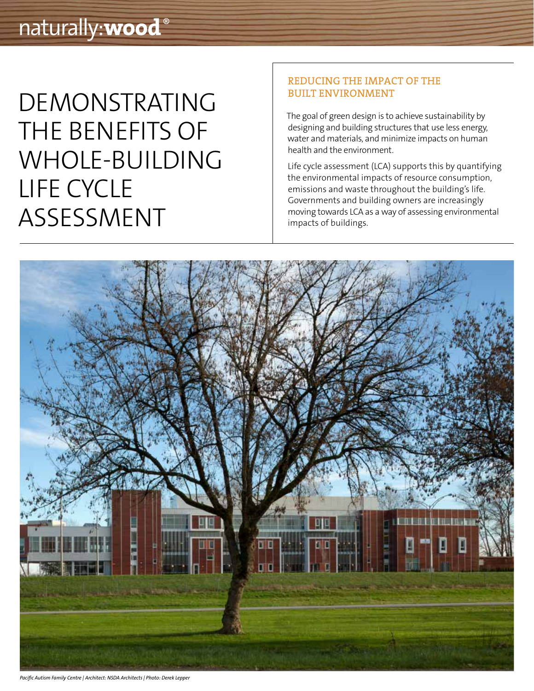# DEMONSTRATING THE BENEFITS OF WHOLE-BUILDING LIFE CYCLE ASSESSMENT

### REDUCING THE IMPACT OF THE BUILT ENVIRONMENT

The goal of green design is to achieve sustainability by designing and building structures that use less energy, water and materials, and minimize impacts on human health and the environment.

Life cycle assessment (LCA) supports this by quantifying the environmental impacts of resource consumption, emissions and waste throughout the building's life. Governments and building owners are increasingly moving towards LCA as a way of assessing environmental impacts of buildings.



*Pacific Autism Family Centre | Architect: NSDA Architects | Photo: Derek Lepper*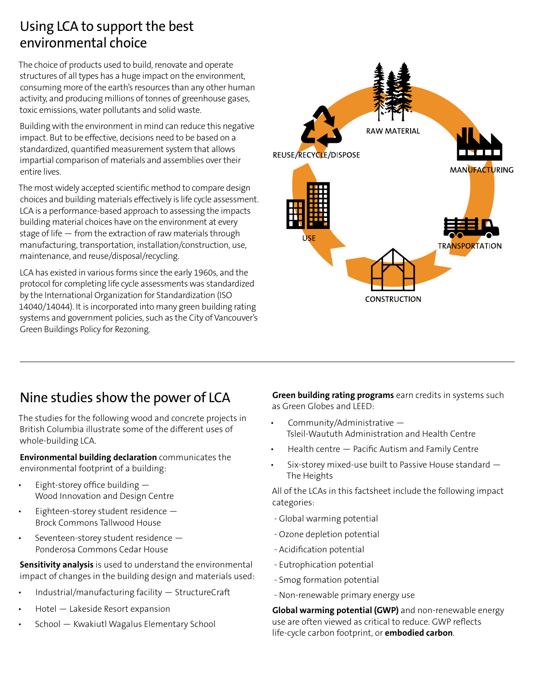### Using LCA to support the best environmental choice

The choice of products used to build, renovate and operate structures of all types has a huge impact on the environment, consuming more of the earth's resources than any other human activity, and producing millions of tonnes of greenhouse gases, toxic emissions, water pollutants and solid waste.

Building with the environment in mind can reduce this negative impact. But to be effective, decisions need to be based on a standardized, quantified measurement system that allows impartial comparison of materials and assemblies over their entire lives.

The most widely accepted scientific method to compare design choices and building materials effectively is life cycle assessment. LCA is a performance-based approach to assessing the impacts building material choices have on the environment at every stage of life — from the extraction of raw materials through manufacturing, transportation, installation/construction, use, maintenance, and reuse/disposal/recycling.

LCA has existed in various forms since the early 1960s, and the protocol for completing life cycle assessments was standardized by the International Organization for Standardization (ISO 14040/14044). It is incorporated into many green building rating systems and government policies, such as the City of Vancouver's Green Buildings Policy for Rezoning.



### Nine studies show the power of LCA

The studies for the following wood and concrete projects in British Columbia illustrate some of the different uses of whole-building LCA.

**Environmental building declaration** communicates the environmental footprint of a building:

- Eight-storey office building  $-$ Wood Innovation and Design Centre
- Eighteen-storey student residence  $-$ Brock Commons Tallwood House
- Seventeen-storey student residence Ponderosa Commons Cedar House

**Sensitivity analysis** is used to understand the environmental impact of changes in the building design and materials used:

- Industrial/manufacturing facility StructureCraft
- Hotel Lakeside Resort expansion
- School Kwakiutl Wagalus Elementary School

**Green building rating programs** earn credits in systems such as Green Globes and LEED:

- Community/Administrative  $-$ Tsleil-Waututh Administration and Health Centre
- $Health$  centre  $-$  Pacific Autism and Family Centre
- Six-storey mixed-use built to Passive House standard The Heights

All of the LCAs in this factsheet include the following impact categories:

- Global warming potential
- Ozone depletion potential
- Acidification potential
- Eutrophication potential
- Smog formation potential
- Non-renewable primary energy use

**Global warming potential (GWP)** and non-renewable energy use are often viewed as critical to reduce. GWP reflects life-cycle carbon footprint, or **embodied carbon**.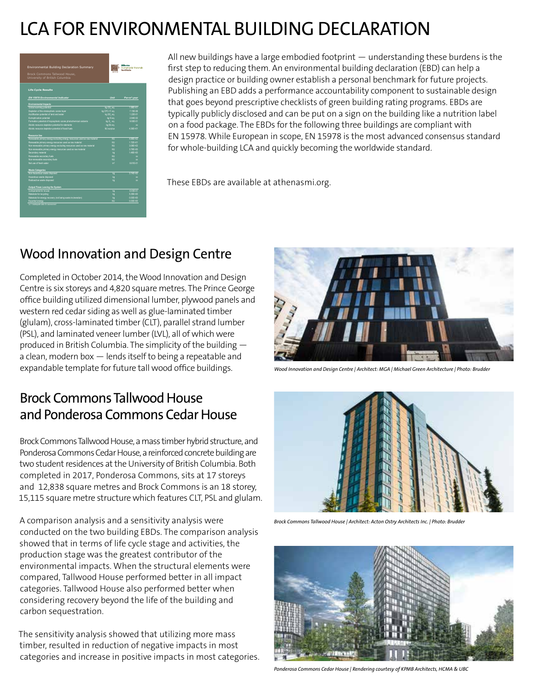## LCA FOR ENVIRONMENTAL BUILDING DECLARATION

| Environmental Building Declaration Summary                               |               | <b>Athena</b><br>Sustainable Materials<br>Institute |
|--------------------------------------------------------------------------|---------------|-----------------------------------------------------|
| Brock Commons Tallwood House.<br>University of British Columbia          |               |                                                     |
| <b>Life Cycle Results</b>                                                |               |                                                     |
| EN 15978 Environmental Indicator                                         | Unit          | Per-m <sup>2</sup> -year                            |
| <b>Environmental Impacts</b>                                             |               |                                                     |
| Global warming potential                                                 | kg CO_eq.     | 1985+01                                             |
| Depletion of the stratospheric ozone layer                               | kg CFC-11 eq. | 7.15E-08                                            |
| Acidification potential of land and water                                | kg SO, eq.    | 1.22E-01                                            |
| Eutrophication potential                                                 | ka Nea.       | 2 84F-02                                            |
| Formation potential of troposcheric ozone photochemical oxidants         | kg 0. eq.     | 9 93F-01                                            |
| Abiotic resource decletion cotential for elements                        | kg Sb eq.     | $\mathbf{r}$                                        |
| Abiotic resource depletion potential of fossil fuels                     | autorus LM    | 4.38F+01                                            |
| <b>Resource Use</b>                                                      |               |                                                     |
| Renewable primary energy excluding energy resources used as raw material | MI            | 4.88E+02                                            |
| Renewable primary energy resources used as raw material                  | MI            | 1.72E+01                                            |
| Non-renewable primary energy excluding resources used as raw material    | MI            | 3.08E+02                                            |
| Non-renewable primary energy resources used as raw material              | MI            | 3.795+00                                            |
| Secondary material                                                       | ko            | 1485+00                                             |
| Renewable secondary fuels                                                | M.            | $\mathbf{r}$                                        |
| Non-renewable secondary fuels                                            | MI            | $\mathbf{r}$                                        |
| Net use of fresh water                                                   | m             | 8.81E-01                                            |
| <b>Waste Categories</b>                                                  |               |                                                     |
| Non-hazardous waste disposed                                             | kg            | $3745 + 00$                                         |
| Hazardous waste disposed                                                 | ka            | $\overline{\mathbf{X}}$                             |
| Radioactive waste disposed                                               | ks            | $\overline{\mathbf{X}}$                             |
| Output Flows Leaving the System                                          |               |                                                     |
| Companents for re-use                                                    | kg            | 6.43F-01                                            |
| Materials for recycling                                                  | ka            | 6.35E+00                                            |
| Materials for energy recovery (not being waste incineration)             | k.            | 0.00E+00                                            |
| Exported energy<br>xx = inadequate date for assessment                   | w             | $0.00E + 0.0$                                       |

All new buildings have a large embodied footprint — understanding these burdens is the first step to reducing them. An environmental building declaration (EBD) can help a design practice or building owner establish a personal benchmark for future projects. Publishing an EBD adds a performance accountability component to sustainable design that goes beyond prescriptive checklists of green building rating programs. EBDs are typically publicly disclosed and can be put on a sign on the building like a nutrition label on a food package. The EBDs for the following three buildings are compliant with EN 15978. While European in scope, EN 15978 is the most advanced consensus standard for whole-building LCA and quickly becoming the worldwide standard.

These EBDs are available at athenasmi.org.

## Wood Innovation and Design Centre

Completed in October 2014, the Wood Innovation and Design Centre is six storeys and 4,820 square metres. The Prince George office building utilized dimensional lumber, plywood panels and western red cedar siding as well as glue-laminated timber (glulam), cross-laminated timber (CLT), parallel strand lumber (PSL), and laminated veneer lumber (LVL), all of which were produced in British Columbia. The simplicity of the building a clean, modern box — lends itself to being a repeatable and expandable template for future tall wood office buildings.

### Brock Commons Tallwood House and Ponderosa Commons Cedar House

Brock Commons Tallwood House, a mass timber hybrid structure, and Ponderosa Commons Cedar House, a reinforced concrete building are two student residences at the University of British Columbia. Both completed in 2017, Ponderosa Commons, sits at 17 storeys and 12,838 square metres and Brock Commons is an 18 storey, 15,115 square metre structure which features CLT, PSL and glulam.

A comparison analysis and a sensitivity analysis were conducted on the two building EBDs. The comparison analysis showed that in terms of life cycle stage and activities, the production stage was the greatest contributor of the environmental impacts. When the structural elements were compared, Tallwood House performed better in all impact categories. Tallwood House also performed better when considering recovery beyond the life of the building and carbon sequestration.

The sensitivity analysis showed that utilizing more mass timber, resulted in reduction of negative impacts in most categories and increase in positive impacts in most categories.



*Wood Innovation and Design Centre | Architect: MGA | Michael Green Architecture | Photo: Brudder*



*Brock Commons Tallwood House | Architect: Acton Ostry Architects Inc. | Photo: Brudder*



*Ponderosa Commons Cedar House | Rendering courtesy of KPMB Architects, HCMA & UBC*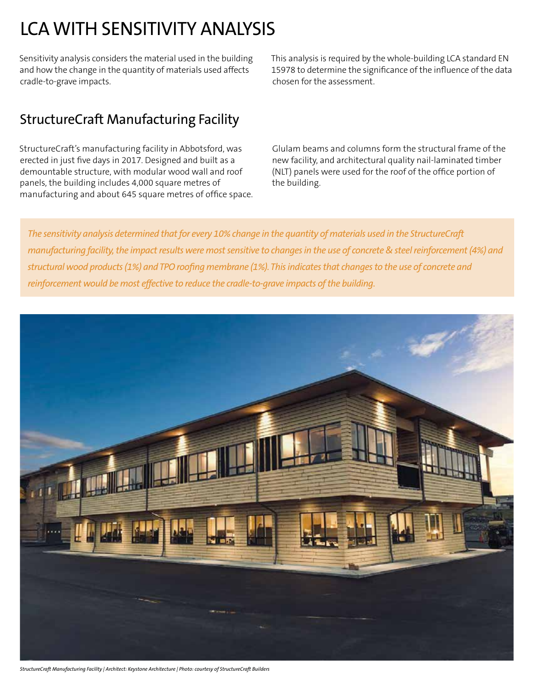## LCA WITH SENSITIVITY ANALYSIS

Sensitivity analysis considers the material used in the building and how the change in the quantity of materials used affects cradle-to-grave impacts.

This analysis is required by the whole-building LCA standard EN 15978 to determine the significance of the influence of the data chosen for the assessment.

## StructureCraft Manufacturing Facility

StructureCraft's manufacturing facility in Abbotsford, was erected in just five days in 2017. Designed and built as a demountable structure, with modular wood wall and roof panels, the building includes 4,000 square metres of manufacturing and about 645 square metres of office space.

Glulam beams and columns form the structural frame of the new facility, and architectural quality nail-laminated timber (NLT) panels were used for the roof of the office portion of the building.

*The sensitivity analysis determined that for every 10% change in the quantity of materials used in the StructureCraft manufacturing facility, the impact results were most sensitive to changes in the use of concrete & steel reinforcement (4%) and structural wood products (1%) and TPO roofing membrane (1%). This indicates that changes to the use of concrete and reinforcement would be most effective to reduce the cradle-to-grave impacts of the building.*



*StructureCraft Manufacturing Facility | Architect: Keystone Architecture | Photo: courtesy of StructureCraft Builders*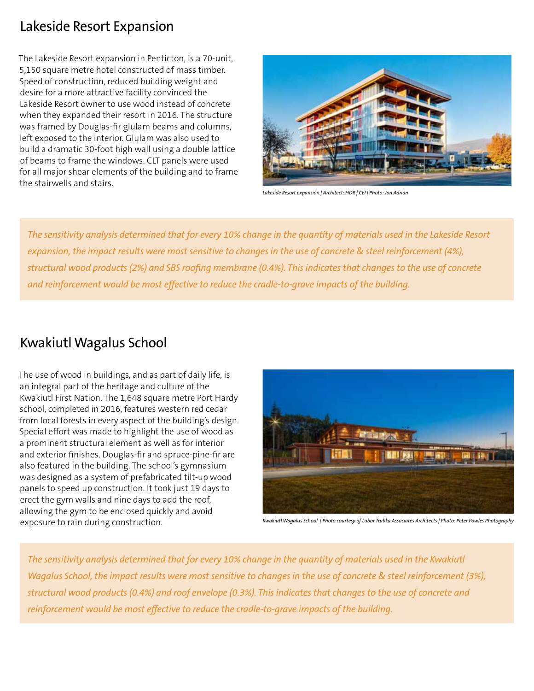### Lakeside Resort Expansion

The Lakeside Resort expansion in Penticton, is a 70-unit, 5,150 square metre hotel constructed of mass timber. Speed of construction, reduced building weight and desire for a more attractive facility convinced the Lakeside Resort owner to use wood instead of concrete when they expanded their resort in 2016. The structure was framed by Douglas-fir glulam beams and columns, left exposed to the interior. Glulam was also used to build a dramatic 30-foot high wall using a double lattice of beams to frame the windows. CLT panels were used for all major shear elements of the building and to frame the stairwells and stairs.



*Lakeside Resort expansion | Architect: HDR | CEI | Photo: Jon Adrian*

*The sensitivity analysis determined that for every 10% change in the quantity of materials used in the Lakeside Resort expansion, the impact results were most sensitive to changes in the use of concrete & steel reinforcement (4%), structural wood products (2%) and SBS roofing membrane (0.4%). This indicates that changes to the use of concrete and reinforcement would be most effective to reduce the cradle-to-grave impacts of the building.*

### Kwakiutl Wagalus School

The use of wood in buildings, and as part of daily life, is an integral part of the heritage and culture of the Kwakiutl First Nation. The 1,648 square metre Port Hardy school, completed in 2016, features western red cedar from local forests in every aspect of the building's design. Special effort was made to highlight the use of wood as a prominent structural element as well as for interior and exterior finishes. Douglas-fir and spruce-pine-fir are also featured in the building. The school's gymnasium was designed as a system of prefabricated tilt-up wood panels to speed up construction. It took just 19 days to erect the gym walls and nine days to add the roof, allowing the gym to be enclosed quickly and avoid exposure to rain during construction.



*Kwakiutl Wagalus School | Photo courtesy of Lubor Trubka Associates Architects | Photo: Peter Powles Photography*

*The sensitivity analysis determined that for every 10% change in the quantity of materials used in the Kwakiutl Wagalus School, the impact results were most sensitive to changes in the use of concrete & steel reinforcement (3%), structural wood products (0.4%) and roof envelope (0.3%). This indicates that changes to the use of concrete and reinforcement would be most effective to reduce the cradle-to-grave impacts of the building.*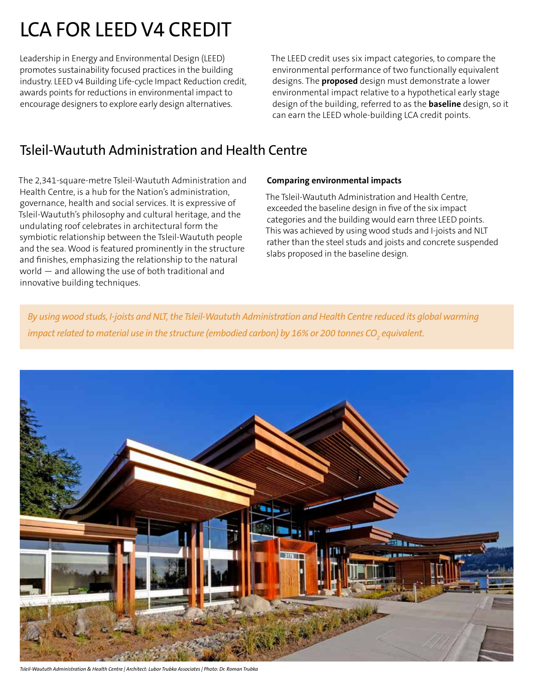# LCA FOR LEED V4 CREDIT

Leadership in Energy and Environmental Design (LEED) promotes sustainability focused practices in the building industry. LEED v4 Building Life-cycle Impact Reduction credit, awards points for reductions in environmental impact to encourage designers to explore early design alternatives.

The LEED credit uses six impact categories, to compare the environmental performance of two functionally equivalent designs. The **proposed** design must demonstrate a lower environmental impact relative to a hypothetical early stage design of the building, referred to as the **baseline** design, so it can earn the LEED whole-building LCA credit points.

### Tsleil-Waututh Administration and Health Centre

The 2,341-square-metre Tsleil-Waututh Administration and Health Centre, is a hub for the Nation's administration, governance, health and social services. It is expressive of Tsleil-Waututh's philosophy and cultural heritage, and the undulating roof celebrates in architectural form the symbiotic relationship between the Tsleil-Waututh people and the sea. Wood is featured prominently in the structure and finishes, emphasizing the relationship to the natural world — and allowing the use of both traditional and innovative building techniques.

#### **Comparing environmental impacts**

The Tsleil-Waututh Administration and Health Centre, exceeded the baseline design in five of the six impact categories and the building would earn three LEED points. This was achieved by using wood studs and I-joists and NLT rather than the steel studs and joists and concrete suspended slabs proposed in the baseline design.

*By using wood studs, I-joists and NLT, the Tsleil-Waututh Administration and Health Centre reduced its global warming*  impact related to material use in the structure (embodied carbon) by 16% or 200 tonnes CO<sub>2</sub> equivalent.



```
Tsleil-Waututh Administration & Health Centre | Architect: Lubor Trubka Associates | Photo: Dr. Roman Trubka
```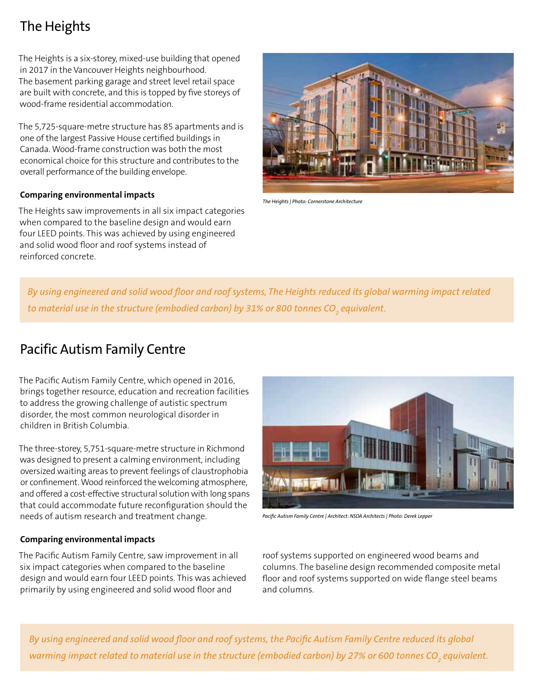## The Heights

The Heights is a six-storey, mixed-use building that opened in 2017 in the Vancouver Heights neighbourhood. The basement parking garage and street level retail space are built with concrete, and this is topped by five storeys of wood-frame residential accommodation.

The 5,725-square-metre structure has 85 apartments and is one of the largest Passive House certified buildings in Canada. Wood-frame construction was both the most economical choice for this structure and contributes to the overall performance of the building envelope.

### **Comparing environmental impacts**

The Heights saw improvements in all six impact categories when compared to the baseline design and would earn four LEED points. This was achieved by using engineered and solid wood floor and roof systems instead of reinforced concrete.



*The Heights | Photo: Cornerstone Architecture* 

*By using engineered and solid wood floor and roof systems, The Heights reduced its global warming impact related*  to material use in the structure (embodied carbon) by 31% or 800 tonnes CO<sub>2</sub> equivalent.

### Pacific Autism Family Centre

The Pacific Autism Family Centre, which opened in 2016, brings together resource, education and recreation facilities to address the growing challenge of autistic spectrum disorder, the most common neurological disorder in children in British Columbia.

The three-storey, 5,751-square-metre structure in Richmond was designed to present a calming environment, including oversized waiting areas to prevent feelings of claustrophobia or confinement. Wood reinforced the welcoming atmosphere, and offered a cost-effective structural solution with long spans that could accommodate future reconfiguration should the needs of autism research and treatment change.



*Pacific Autism Family Centre | Architect: NSDA Architects | Photo: Derek Lepper*

#### **Comparing environmental impacts**

The Pacific Autism Family Centre, saw improvement in all six impact categories when compared to the baseline design and would earn four LEED points. This was achieved primarily by using engineered and solid wood floor and

roof systems supported on engineered wood beams and columns. The baseline design recommended composite metal floor and roof systems supported on wide flange steel beams and columns.

*By using engineered and solid wood floor and roof systems, the Pacific Autism Family Centre reduced its global*  warming impact related to material use in the structure (embodied carbon) by 27% or 600 tonnes CO<sub>2</sub> equivalent.